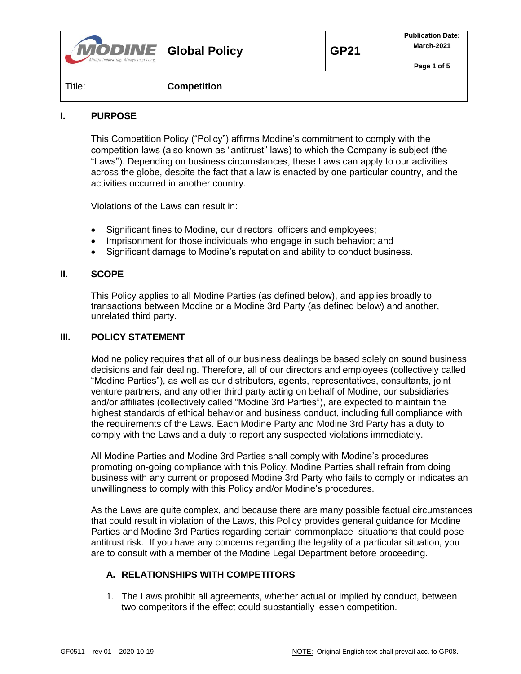| <b>MODINE</b> Global Policy<br>Always Innovating. Always Improving. |                    | <b>GP21</b> | <b>Publication Date:</b><br>March-2021 |
|---------------------------------------------------------------------|--------------------|-------------|----------------------------------------|
|                                                                     |                    |             | Page 1 of 5                            |
| Title:                                                              | <b>Competition</b> |             |                                        |

### **I. PURPOSE**

This Competition Policy ("Policy") affirms Modine's commitment to comply with the competition laws (also known as "antitrust" laws) to which the Company is subject (the "Laws"). Depending on business circumstances, these Laws can apply to our activities across the globe, despite the fact that a law is enacted by one particular country, and the activities occurred in another country.

Violations of the Laws can result in:

- Significant fines to Modine, our directors, officers and employees;
- Imprisonment for those individuals who engage in such behavior; and
- Significant damage to Modine's reputation and ability to conduct business.

#### **II. SCOPE**

This Policy applies to all Modine Parties (as defined below), and applies broadly to transactions between Modine or a Modine 3rd Party (as defined below) and another, unrelated third party.

#### **III. POLICY STATEMENT**

Modine policy requires that all of our business dealings be based solely on sound business decisions and fair dealing. Therefore, all of our directors and employees (collectively called "Modine Parties"), as well as our distributors, agents, representatives, consultants, joint venture partners, and any other third party acting on behalf of Modine, our subsidiaries and/or affiliates (collectively called "Modine 3rd Parties"), are expected to maintain the highest standards of ethical behavior and business conduct, including full compliance with the requirements of the Laws. Each Modine Party and Modine 3rd Party has a duty to comply with the Laws and a duty to report any suspected violations immediately.

All Modine Parties and Modine 3rd Parties shall comply with Modine's procedures promoting on-going compliance with this Policy. Modine Parties shall refrain from doing business with any current or proposed Modine 3rd Party who fails to comply or indicates an unwillingness to comply with this Policy and/or Modine's procedures.

As the Laws are quite complex, and because there are many possible factual circumstances that could result in violation of the Laws, this Policy provides general guidance for Modine Parties and Modine 3rd Parties regarding certain commonplace situations that could pose antitrust risk. If you have any concerns regarding the legality of a particular situation, you are to consult with a member of the Modine Legal Department before proceeding.

#### **A. RELATIONSHIPS WITH COMPETITORS**

1. The Laws prohibit all agreements, whether actual or implied by conduct, between two competitors if the effect could substantially lessen competition.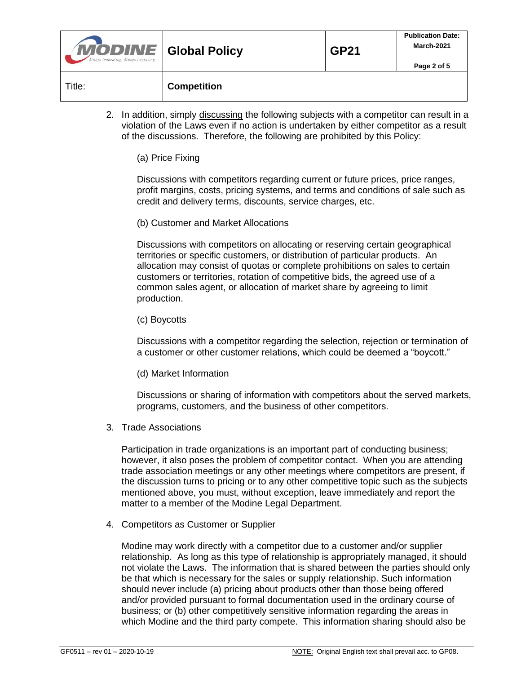| <b>MODINE</b> Global Policy<br>Always Innovating. Always Improving. |                    | <b>GP21</b> | <b>Publication Date:</b><br>March-2021 |
|---------------------------------------------------------------------|--------------------|-------------|----------------------------------------|
|                                                                     |                    |             | Page 2 of 5                            |
| Title:                                                              | <b>Competition</b> |             |                                        |

2. In addition, simply discussing the following subjects with a competitor can result in a violation of the Laws even if no action is undertaken by either competitor as a result of the discussions. Therefore, the following are prohibited by this Policy:

(a) Price Fixing

Discussions with competitors regarding current or future prices, price ranges, profit margins, costs, pricing systems, and terms and conditions of sale such as credit and delivery terms, discounts, service charges, etc.

(b) Customer and Market Allocations

Discussions with competitors on allocating or reserving certain geographical territories or specific customers, or distribution of particular products. An allocation may consist of quotas or complete prohibitions on sales to certain customers or territories, rotation of competitive bids, the agreed use of a common sales agent, or allocation of market share by agreeing to limit production.

(c) Boycotts

Discussions with a competitor regarding the selection, rejection or termination of a customer or other customer relations, which could be deemed a "boycott."

(d) Market Information

Discussions or sharing of information with competitors about the served markets, programs, customers, and the business of other competitors.

3. Trade Associations

Participation in trade organizations is an important part of conducting business; however, it also poses the problem of competitor contact. When you are attending trade association meetings or any other meetings where competitors are present, if the discussion turns to pricing or to any other competitive topic such as the subjects mentioned above, you must, without exception, leave immediately and report the matter to a member of the Modine Legal Department.

4. Competitors as Customer or Supplier

Modine may work directly with a competitor due to a customer and/or supplier relationship. As long as this type of relationship is appropriately managed, it should not violate the Laws. The information that is shared between the parties should only be that which is necessary for the sales or supply relationship. Such information should never include (a) pricing about products other than those being offered and/or provided pursuant to formal documentation used in the ordinary course of business; or (b) other competitively sensitive information regarding the areas in which Modine and the third party compete. This information sharing should also be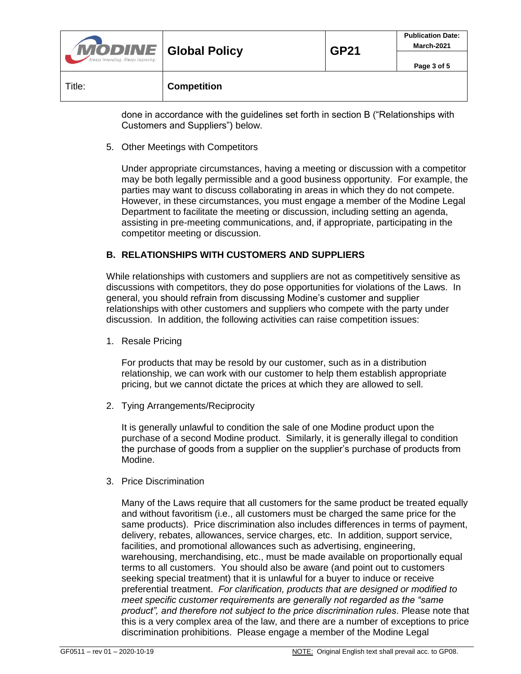| <b>MODINE</b> Global Policy<br>Always Innovating. Always Improving. |                    | <b>GP21</b> | <b>Publication Date:</b><br>March-2021 |
|---------------------------------------------------------------------|--------------------|-------------|----------------------------------------|
|                                                                     |                    |             | Page 3 of 5                            |
| Title:                                                              | <b>Competition</b> |             |                                        |

done in accordance with the guidelines set forth in section B ("Relationships with Customers and Suppliers") below.

5. Other Meetings with Competitors

Under appropriate circumstances, having a meeting or discussion with a competitor may be both legally permissible and a good business opportunity. For example, the parties may want to discuss collaborating in areas in which they do not compete. However, in these circumstances, you must engage a member of the Modine Legal Department to facilitate the meeting or discussion, including setting an agenda, assisting in pre-meeting communications, and, if appropriate, participating in the competitor meeting or discussion.

## **B. RELATIONSHIPS WITH CUSTOMERS AND SUPPLIERS**

While relationships with customers and suppliers are not as competitively sensitive as discussions with competitors, they do pose opportunities for violations of the Laws. In general, you should refrain from discussing Modine's customer and supplier relationships with other customers and suppliers who compete with the party under discussion. In addition, the following activities can raise competition issues:

1. Resale Pricing

For products that may be resold by our customer, such as in a distribution relationship, we can work with our customer to help them establish appropriate pricing, but we cannot dictate the prices at which they are allowed to sell.

2. Tying Arrangements/Reciprocity

It is generally unlawful to condition the sale of one Modine product upon the purchase of a second Modine product. Similarly, it is generally illegal to condition the purchase of goods from a supplier on the supplier's purchase of products from Modine.

3. Price Discrimination

Many of the Laws require that all customers for the same product be treated equally and without favoritism (i.e., all customers must be charged the same price for the same products). Price discrimination also includes differences in terms of payment, delivery, rebates, allowances, service charges, etc. In addition, support service, facilities, and promotional allowances such as advertising, engineering, warehousing, merchandising, etc., must be made available on proportionally equal terms to all customers. You should also be aware (and point out to customers seeking special treatment) that it is unlawful for a buyer to induce or receive preferential treatment. *For clarification, products that are designed or modified to meet specific customer requirements are generally not regarded as the "same product", and therefore not subject to the price discrimination rules*. Please note that this is a very complex area of the law, and there are a number of exceptions to price discrimination prohibitions. Please engage a member of the Modine Legal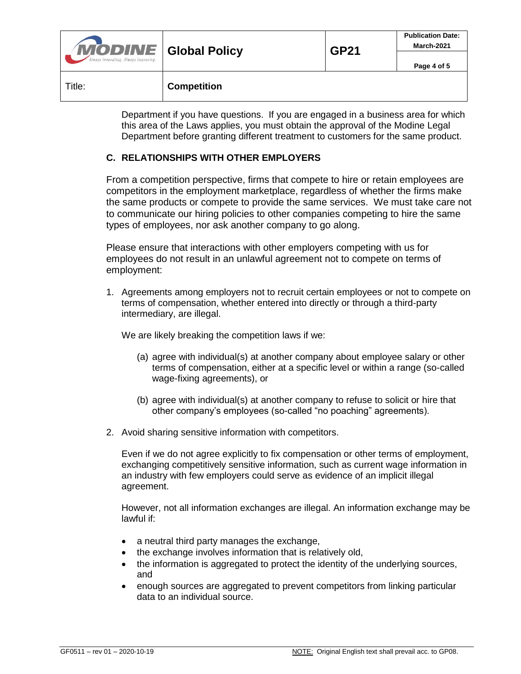| <b>MODINE</b> Global Policy<br>Always Innovating. Always Improving. |                    | <b>GP21</b> | <b>Publication Date:</b><br>March-2021 |
|---------------------------------------------------------------------|--------------------|-------------|----------------------------------------|
|                                                                     |                    |             | Page 4 of 5                            |
| Title:                                                              | <b>Competition</b> |             |                                        |

Department if you have questions. If you are engaged in a business area for which this area of the Laws applies, you must obtain the approval of the Modine Legal Department before granting different treatment to customers for the same product.

## **C. RELATIONSHIPS WITH OTHER EMPLOYERS**

From a competition perspective, firms that compete to hire or retain employees are competitors in the employment marketplace, regardless of whether the firms make the same products or compete to provide the same services. We must take care not to communicate our hiring policies to other companies competing to hire the same types of employees, nor ask another company to go along.

Please ensure that interactions with other employers competing with us for employees do not result in an unlawful agreement not to compete on terms of employment:

1. Agreements among employers not to recruit certain employees or not to compete on terms of compensation, whether entered into directly or through a third-party intermediary, are illegal.

We are likely breaking the competition laws if we:

- (a) agree with individual(s) at another company about employee salary or other terms of compensation, either at a specific level or within a range (so-called wage-fixing agreements), or
- (b) agree with individual(s) at another company to refuse to solicit or hire that other company's employees (so-called "no poaching" agreements).
- 2. Avoid sharing sensitive information with competitors.

Even if we do not agree explicitly to fix compensation or other terms of employment, exchanging competitively sensitive information, such as current wage information in an industry with few employers could serve as evidence of an implicit illegal agreement.

However, not all information exchanges are illegal. An information exchange may be lawful if:

- a neutral third party manages the exchange,
- the exchange involves information that is relatively old,
- the information is aggregated to protect the identity of the underlying sources, and
- enough sources are aggregated to prevent competitors from linking particular data to an individual source.